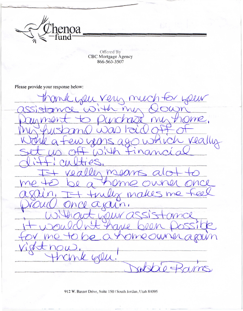

Offered By<br>CBC Mortgage Agency 866-563-3507

Please provide your response below:

Dell Y Leur  $\gamma$  $\overline{\mathsf{IC}}$ me, really  $\varphi$ s magn make Y  $n_{1}$  $\mathcal{Q} \subset$ W Well.  $25$ 

912 W. Baxter Drive, Suite 150 | South Jordan, Utah 84095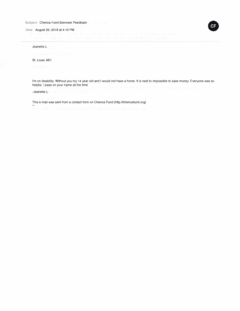Subject: Chenoa Fund Borrower Feedback

Date: August 29, 2018 at 4:10 PM •

Jeanette L

St. Louis, MO

I'm on disability. Without you my 14 year old and I would not have a home. It is next to impossible to save money. Everyone was so helpful. I pass on your name all the time

-Jeanette L

This e-mail was sent from a contact form on Chenoa Fund (http://chenoafund.org)

The sale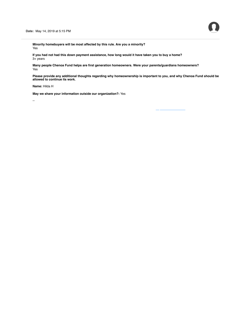**Minority homebuyers will be most affected by this rule. Are you a minority?** Yes

**If you had not had this down payment assistance, how long would it have taken you to buy a home?** 3+ years

**Many people Chenoa Fund helps are first generation homeowners. Were your parents/guardians homeowners?** Yes

**Please provide any additional thoughts regarding why homeownership is important to you, and why Chenoa Fund should be allowed to continue its work.**

**Name:** Hilda H

**May we share your information outside our organization?:** Yes

--